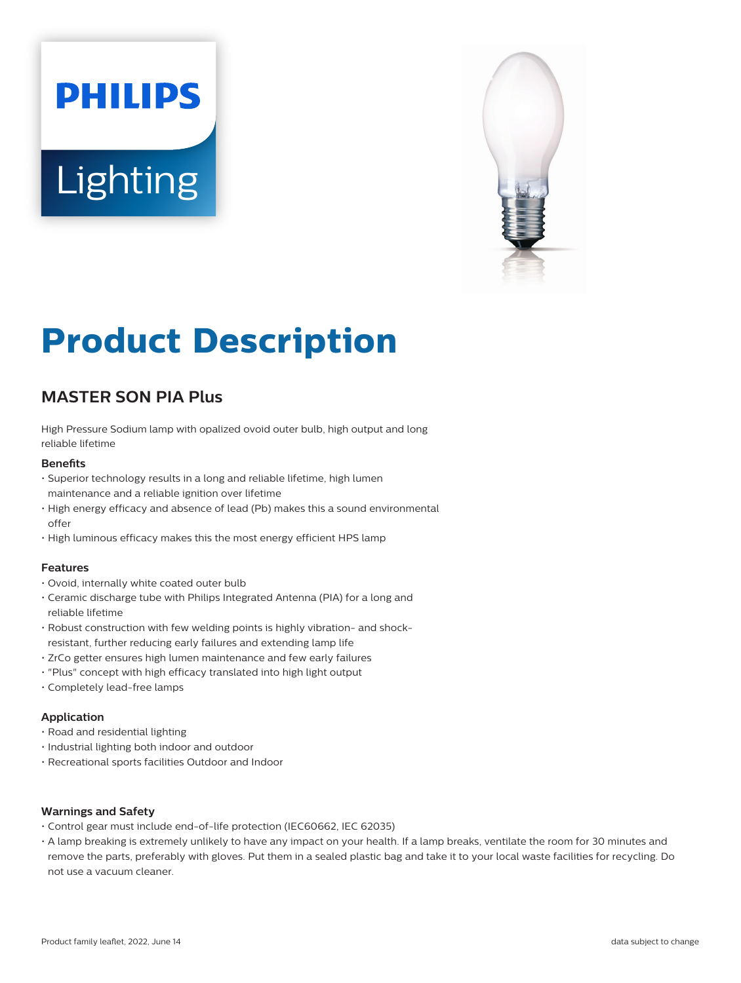# **PHILIPS Lighting**



## **Product Description**

### **MASTER SON PIA Plus**

High Pressure Sodium lamp with opalized ovoid outer bulb, high output and long reliable lifetime

#### **Benefits**

- Superior technology results in a long and reliable lifetime, high lumen maintenance and a reliable ignition over lifetime
- High energy efficacy and absence of lead (Pb) makes this a sound environmental offer
- High luminous efficacy makes this the most energy efficient HPS lamp

#### **Features**

- Ovoid, internally white coated outer bulb
- Ceramic discharge tube with Philips Integrated Antenna (PIA) for a long and reliable lifetime
- Robust construction with few welding points is highly vibration- and shockresistant, further reducing early failures and extending lamp life
- ZrCo getter ensures high lumen maintenance and few early failures
- "Plus" concept with high efficacy translated into high light output
- Completely lead-free lamps

#### **Application**

- Road and residential lighting
- Industrial lighting both indoor and outdoor
- Recreational sports facilities Outdoor and Indoor

#### **Warnings and Safety**

- Control gear must include end-of-life protection (IEC60662, IEC 62035)
- A lamp breaking is extremely unlikely to have any impact on your health. If a lamp breaks, ventilate the room for 30 minutes and remove the parts, preferably with gloves. Put them in a sealed plastic bag and take it to your local waste facilities for recycling. Do not use a vacuum cleaner.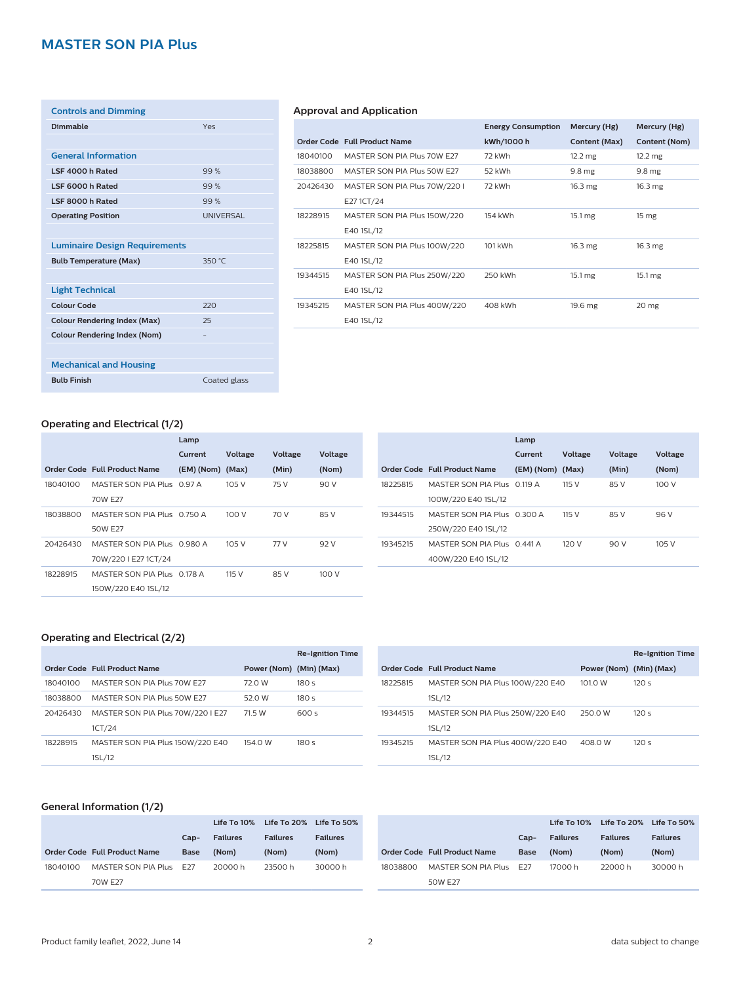#### **MASTER SON PIA Plus**

| <b>Controls and Dimming</b>          |                  |
|--------------------------------------|------------------|
| Dimmable                             | Yes              |
|                                      |                  |
| <b>General Information</b>           |                  |
| LSF 4000 h Rated                     | 99%              |
| LSF 6000 h Rated                     | 99%              |
| LSF 8000 h Rated                     | 99%              |
| <b>Operating Position</b>            | <b>UNIVERSAL</b> |
|                                      |                  |
| <b>Luminaire Design Requirements</b> |                  |
| <b>Bulb Temperature (Max)</b>        | 350 °C           |
|                                      |                  |
| <b>Light Technical</b>               |                  |
| Colour Code                          | 220              |
| <b>Colour Rendering Index (Max)</b>  | 25               |
| <b>Colour Rendering Index (Nom)</b>  |                  |
|                                      |                  |
| <b>Mechanical and Housing</b>        |                  |
| <b>Bulb Finish</b>                   | Coated glass     |

#### **Approval and Application**

|          |                               | <b>Energy Consumption</b> | Mercury (Hg)      | Mercury (Hg)       |
|----------|-------------------------------|---------------------------|-------------------|--------------------|
|          | Order Code Full Product Name  | kWh/1000 h                | Content (Max)     | Content (Nom)      |
| 18040100 | MASTER SON PIA Plus 70W E27   | 72 kWh                    | $12.2 \text{ mg}$ | $12.2 \text{ mg}$  |
| 18038800 | MASTER SON PIA Plus 50W E27   | 52 kWh                    | 9.8 <sub>mg</sub> | 9.8 <sub>mg</sub>  |
| 20426430 | MASTER SON PIA Plus 70W/220 I | 72 kWh                    | $16.3 \text{ mg}$ | $16.3 \text{ mg}$  |
|          | E271CT/24                     |                           |                   |                    |
| 18228915 | MASTER SON PIA Plus 150W/220  | 154 kWh                   | $15.1 \text{ mg}$ | 15 <sub>mg</sub>   |
|          | E40 1SL/12                    |                           |                   |                    |
| 18225815 | MASTER SON PIA Plus 100W/220  | 101 kWh                   | $16.3 \text{ mg}$ | 16.3 <sub>mg</sub> |
|          | E40 1SL/12                    |                           |                   |                    |
| 19344515 | MASTER SON PIA Plus 250W/220  | 250 kWh                   | $15.1 \text{ mg}$ | $15.1 \text{ mg}$  |
|          | E40 1SL/12                    |                           |                   |                    |
| 19345215 | MASTER SON PIA Plus 400W/220  | 408 kWh                   | $19.6$ mg         | 20 <sub>mg</sub>   |
|          | E40 1SL/12                    |                           |                   |                    |
|          |                               |                           |                   |                    |

#### **Operating and Electrical (1/2)**

|          |                              | Lamp             |         |         |         |
|----------|------------------------------|------------------|---------|---------|---------|
|          |                              | Current          | Voltage | Voltage | Voltage |
|          | Order Code Full Product Name | (EM) (Nom) (Max) |         | (Min)   | (Nom)   |
| 18040100 | MASTER SON PIA Plus 0.97 A   |                  | 105 V   | 75 V    | 90 V    |
|          | 70W F27                      |                  |         |         |         |
| 18038800 | MASTER SON PIA Plus 0.750 A  |                  | 100 V   | 70 V    | 85 V    |
|          | 50W F27                      |                  |         |         |         |
| 20426430 | MASTER SON PIA Plus 0.980 A  |                  | 105 V   | 77 V    | 92 V    |
|          | 70W/220 I E27 1CT/24         |                  |         |         |         |
| 18228915 | MASTER SON PIA Plus 0.178 A  |                  | 115 V   | 85 V    | 100 V   |
|          | 150W/220 E40 1SL/12          |                  |         |         |         |

|                              | Lamp    |                                                                                           |                |                |
|------------------------------|---------|-------------------------------------------------------------------------------------------|----------------|----------------|
|                              | Current | Voltage                                                                                   | <b>Voltage</b> | <b>Voltage</b> |
| Order Code Full Product Name |         |                                                                                           | (Min)          | (Nom)          |
|                              |         | 115 V                                                                                     | 85 V           | 100 V          |
| 100W/220 E40 1SL/12          |         |                                                                                           |                |                |
|                              |         | 115 V                                                                                     | 85 V           | 96 V           |
| 250W/220 E40 1SL/12          |         |                                                                                           |                |                |
|                              |         | 120 V                                                                                     | 90 V           | 105V           |
| 400W/220 E40 1SL/12          |         |                                                                                           |                |                |
|                              |         | MASTER SON PIA Plus 0 119 A<br>MASTER SON PIA Plus 0.300 A<br>MASTER SON PIA Plus 0.441 A | (EM)(Nom)(Max) |                |

#### **Operating and Electrical (2/2)**

|          |                                   |                         | <b>Re-Ignition Time</b> |
|----------|-----------------------------------|-------------------------|-------------------------|
|          | Order Code Full Product Name      | Power (Nom) (Min) (Max) |                         |
| 18040100 | MASTER SON PIA Plus 70W E27       | 72.0 W                  | 180s                    |
| 18038800 | MASTER SON PIA Plus 50W E27       | 52.0 W                  | 180s                    |
| 20426430 | MASTER SON PIA Plus 70W/220 I E27 | 71.5 W                  | 600 s                   |
|          | 1CT/24                            |                         |                         |
| 18228915 | MASTER SON PIA Plus 150W/220 E40  | 154.0 W                 | 180s                    |
|          | 1SL/12                            |                         |                         |

|          |                                  |                         | <b>Re-Ignition Time</b> |
|----------|----------------------------------|-------------------------|-------------------------|
|          | Order Code Full Product Name     | Power (Nom) (Min) (Max) |                         |
| 18225815 | MASTER SON PIA Plus 100W/220 E40 | 101.0 W                 | 120s                    |
|          | 1SL/12                           |                         |                         |
| 19344515 | MASTER SON PIA Plus 250W/220 E40 | 250.0 W                 | 120s                    |
|          | 1SL/12                           |                         |                         |
| 19345215 | MASTER SON PIA Plus 400W/220 E40 | 408.0 W                 | 120s                    |
|          | 1SL/12                           |                         |                         |

#### **General Information (1/2)**

|          |                              |             |                 | Life To 10% Life To 20% Life To 50% |                 |
|----------|------------------------------|-------------|-----------------|-------------------------------------|-----------------|
|          |                              | $Cap-$      | <b>Failures</b> | <b>Failures</b>                     | <b>Failures</b> |
|          | Order Code Full Product Name | <b>Base</b> | (Nom)           | (Nom)                               | (Nom)           |
| 18040100 | MASTER SON PIA Plus E27      |             | 20000 h         | 23500 h                             | 30000 h         |
|          | 70W E27                      |             |                 |                                     |                 |

|          |                                     |             |                 | Life To 10% Life To 20% Life To 50% |                 |
|----------|-------------------------------------|-------------|-----------------|-------------------------------------|-----------------|
|          |                                     | $Can-$      | <b>Failures</b> | <b>Failures</b>                     | <b>Failures</b> |
|          | <b>Order Code Full Product Name</b> | <b>Base</b> | (Nom)           | (Nom)                               | (Nom)           |
| 18038800 | MASTER SON PIA Plus E27             |             | 17000h          | 22000 h                             | 30000 h         |
|          | 50W F27                             |             |                 |                                     |                 |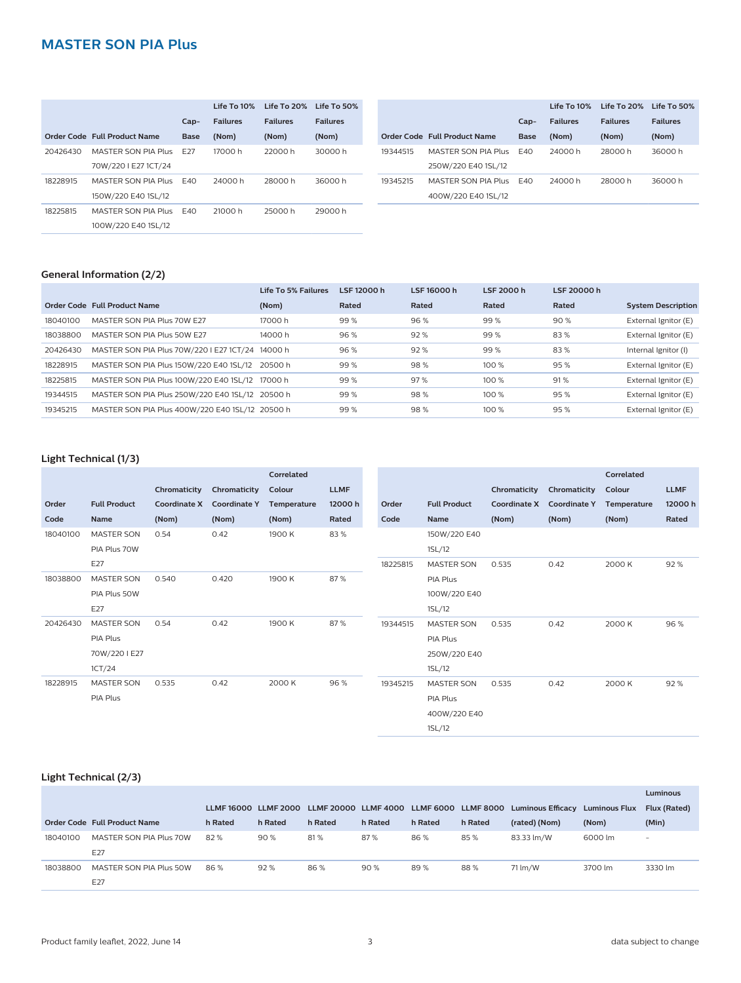#### **MASTER SON PIA Plus**

|          |                              |                 | Life To 10%     | Life To 20%     | Life To 50%     |          |                              |        | Life To 10%     | Life To 20%     | Life To 50%     |
|----------|------------------------------|-----------------|-----------------|-----------------|-----------------|----------|------------------------------|--------|-----------------|-----------------|-----------------|
|          |                              | $Cap-$          | <b>Failures</b> | <b>Failures</b> | <b>Failures</b> |          |                              | $Cap-$ | <b>Failures</b> | <b>Failures</b> | <b>Failures</b> |
|          | Order Code Full Product Name | Base            | (Nom)           | (Nom)           | (Nom)           |          | Order Code Full Product Name | Base   | (Nom)           | (Nom)           | (Nom)           |
| 20426430 | MASTER SON PIA Plus          | F <sub>27</sub> | 17000 h         | 22000 h         | 30000 h         | 19344515 | MASTER SON PIA Plus          | F40    | 24000 h         | 28000 h         | 36000 h         |
|          | 70W/220   E27 1CT/24         |                 |                 |                 |                 |          | 250W/220 E40 1SL/12          |        |                 |                 |                 |
| 18228915 | MASTER SON PIA Plus          | E40             | 24000 h         | 28000 h         | 36000 h         | 19345215 | MASTER SON PIA Plus          | F40    | 24000 h         | 28000 h         | 36000 h         |
|          | 150W/220 E40 1SL/12          |                 |                 |                 |                 |          | 400W/220 E40 1SL/12          |        |                 |                 |                 |
| 18225815 | MASTER SON PIA Plus          | E40             | 21000 h         | 25000 h         | 29000 h         |          |                              |        |                 |                 |                 |
|          | 100W/220 E40 1SL/12          |                 |                 |                 |                 |          |                              |        |                 |                 |                 |
|          |                              |                 |                 |                 |                 |          |                              |        |                 |                 |                 |

#### **General Information (2/2)**

|          |                                                  | Life To 5% Failures | LSF 12000 h | LSF 16000 h | LSF 2000 h | LSF 20000 h |                           |
|----------|--------------------------------------------------|---------------------|-------------|-------------|------------|-------------|---------------------------|
|          | Order Code Full Product Name                     | (Nom)               | Rated       | Rated       | Rated      | Rated       | <b>System Description</b> |
| 18040100 | MASTER SON PIA Plus 70W E27                      | 17000 h             | 99%         | 96%         | 99%        | 90%         | External Ignitor (E)      |
| 18038800 | MASTER SON PIA Plus 50W E27                      | 14000 h             | 96%         | 92%         | 99%        | 83%         | External Ignitor (E)      |
| 20426430 | MASTER SON PIA Plus 70W/220   E27 1CT/24 14000 h |                     | 96%         | 92%         | 99%        | 83%         | Internal Ignitor (I)      |
| 18228915 | MASTER SON PIA Plus 150W/220 E40 1SL/12 20500 h  |                     | 99%         | 98%         | 100 %      | 95 %        | External Ignitor (E)      |
| 18225815 | MASTER SON PIA Plus 100W/220 E40 1SL/12 17000 h  |                     | 99%         | 97%         | 100%       | 91%         | External Ignitor (E)      |
| 19344515 | MASTER SON PIA Plus 250W/220 E40 1SL/12 20500 h  |                     | 99%         | 98%         | 100%       | 95 %        | External lgnitor (E)      |
| 19345215 | MASTER SON PIA Plus 400W/220 E40 1SL/12 20500 h  |                     | 99%         | 98%         | 100%       | 95 %        | External Ignitor (E)      |

#### **Light Technical (1/3)**

|          |                     |                     |                     | Correlated  |             |          |                     |                     |                     | Correlated  |             |
|----------|---------------------|---------------------|---------------------|-------------|-------------|----------|---------------------|---------------------|---------------------|-------------|-------------|
|          |                     | Chromaticity        | Chromaticity        | Colour      | <b>LLMF</b> |          |                     | Chromaticity        | Chromaticity        | Colour      | <b>LLMF</b> |
| Order    | <b>Full Product</b> | <b>Coordinate X</b> | <b>Coordinate Y</b> | Temperature | 12000h      | Order    | <b>Full Product</b> | <b>Coordinate X</b> | <b>Coordinate Y</b> | Temperature | 12000h      |
| Code     | Name                | (Nom)               | (Nom)               | (Nom)       | Rated       | Code     | Name                | (Nom)               | (Nom)               | (Nom)       | Rated       |
| 18040100 | <b>MASTER SON</b>   | 0.54                | 0.42                | 1900 K      | 83%         |          | 150W/220 E40        |                     |                     |             |             |
|          | PIA Plus 70W        |                     |                     |             |             |          | 1SL/12              |                     |                     |             |             |
|          | E27                 |                     |                     |             |             | 18225815 | <b>MASTER SON</b>   | 0.535               | 0.42                | 2000 K      | 92%         |
| 18038800 | <b>MASTER SON</b>   | 0.540               | 0.420               | 1900 K      | 87%         |          | PIA Plus            |                     |                     |             |             |
|          | PIA Plus 50W        |                     |                     |             |             |          | 100W/220 E40        |                     |                     |             |             |
|          | E27                 |                     |                     |             |             |          | 1SL/12              |                     |                     |             |             |
| 20426430 | <b>MASTER SON</b>   | 0.54                | 0.42                | 1900 K      | 87%         | 19344515 | <b>MASTER SON</b>   | 0.535               | 0.42                | 2000 K      | 96%         |
|          | PIA Plus            |                     |                     |             |             |          | PIA Plus            |                     |                     |             |             |
|          | 70W/2201E27         |                     |                     |             |             |          | 250W/220 E40        |                     |                     |             |             |
|          | 1CT/24              |                     |                     |             |             |          | 1SL/12              |                     |                     |             |             |
| 18228915 | <b>MASTER SON</b>   | 0.535               | 0.42                | 2000 K      | 96%         | 19345215 | <b>MASTER SON</b>   | 0.535               | 0.42                | 2000 K      | 92%         |
|          | PIA Plus            |                     |                     |             |             |          | PIA Plus            |                     |                     |             |             |
|          |                     |                     |                     |             |             |          | 400W/220 E40        |                     |                     |             |             |
|          |                     |                     |                     |             |             |          | 1SL/12              |                     |                     |             |             |

#### **Light Technical (2/3)**

|          |                              |         |         |         |         |         |         |                                                                                 |                      | Luminous            |
|----------|------------------------------|---------|---------|---------|---------|---------|---------|---------------------------------------------------------------------------------|----------------------|---------------------|
|          |                              |         |         |         |         |         |         | LLMF 16000 LLMF 2000 LLMF 20000 LLMF 4000 LLMF 6000 LLMF 8000 Luminous Efficacy | <b>Luminous Flux</b> | <b>Flux (Rated)</b> |
|          | Order Code Full Product Name | h Rated | h Rated | h Rated | h Rated | h Rated | h Rated | (rated) (Nom)                                                                   | (Nom)                | (Min)               |
| 18040100 | MASTER SON PIA Plus 70W      | 82%     | 90%     | 81%     | 87%     | 86%     | 85%     | 83.33 lm/W                                                                      | 6000 lm              | ۰                   |
|          | E27                          |         |         |         |         |         |         |                                                                                 |                      |                     |
| 18038800 | MASTER SON PIA Plus 50W      | 86%     | 92%     | 86%     | 90%     | 89%     | 88%     | 71 lm/W                                                                         | 3700 lm              | 3330 lm             |
|          | E27                          |         |         |         |         |         |         |                                                                                 |                      |                     |